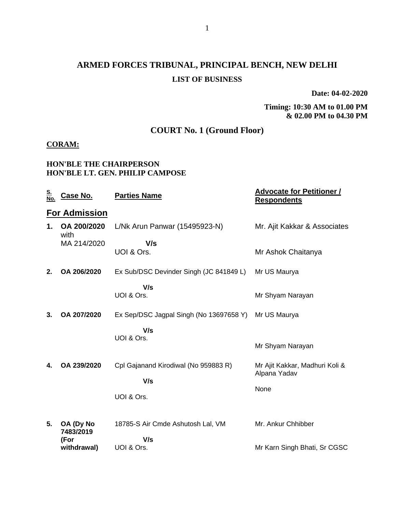## **ARMED FORCES TRIBUNAL, PRINCIPAL BENCH, NEW DELHI LIST OF BUSINESS**

**Date: 04-02-2020**

**Timing: 10:30 AM to 01.00 PM & 02.00 PM to 04.30 PM**

### **COURT No. 1 (Ground Floor)**

#### **CORAM:**

#### **HON'BLE THE CHAIRPERSON HON'BLE LT. GEN. PHILIP CAMPOSE**

| <u>S.</u><br><u>No.</u> | <u>Case No.</u>                | <b>Parties Name</b>                         | <b>Advocate for Petitioner /</b><br><b>Respondents</b> |
|-------------------------|--------------------------------|---------------------------------------------|--------------------------------------------------------|
|                         | <b>For Admission</b>           |                                             |                                                        |
| 1.                      | OA 200/2020<br>with            | L/Nk Arun Panwar (15495923-N)               | Mr. Ajit Kakkar & Associates                           |
|                         | MA 214/2020                    | V/s<br>UOI & Ors.                           | Mr Ashok Chaitanya                                     |
| 2.                      | OA 206/2020                    | Ex Sub/DSC Devinder Singh (JC 841849 L)     | Mr US Maurya                                           |
|                         |                                | V/s<br>UOI & Ors.                           | Mr Shyam Narayan                                       |
| 3.                      | OA 207/2020                    | Ex Sep/DSC Jagpal Singh (No 13697658 Y)     | Mr US Maurya                                           |
|                         |                                | V/s<br>UOI & Ors.                           | Mr Shyam Narayan                                       |
| 4.                      | OA 239/2020                    | Cpl Gajanand Kirodiwal (No 959883 R)<br>V/s | Mr Ajit Kakkar, Madhuri Koli &<br>Alpana Yadav         |
|                         |                                | UOI & Ors.                                  | None                                                   |
| 5.                      | OA (Dy No<br>7483/2019<br>(For | 18785-S Air Cmde Ashutosh Lal, VM<br>V/s    | Mr. Ankur Chhibber                                     |
|                         | withdrawal)                    | UOI & Ors.                                  | Mr Karn Singh Bhati, Sr CGSC                           |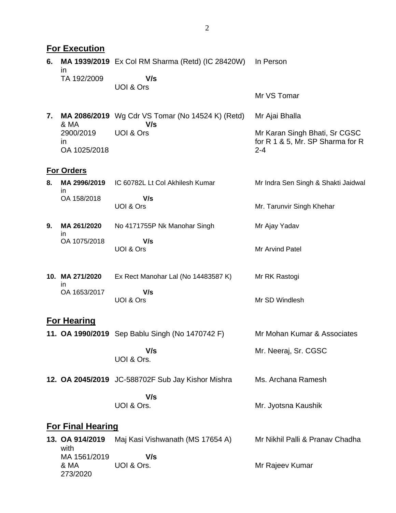|    | <b>For Execution</b>             |                                                                |                                                                              |
|----|----------------------------------|----------------------------------------------------------------|------------------------------------------------------------------------------|
| 6. | in                               | <b>MA 1939/2019</b> Ex Col RM Sharma (Retd) (IC 28420W)        | In Person                                                                    |
|    | TA 192/2009                      | V/s                                                            |                                                                              |
|    |                                  | UOI & Ors                                                      | Mr VS Tomar                                                                  |
| 7. | & MA                             | <b>MA 2086/2019</b> Wg Cdr VS Tomar (No 14524 K) (Retd)<br>V/s | Mr Ajai Bhalla                                                               |
|    | 2900/2019<br>in<br>OA 1025/2018  | UOI & Ors                                                      | Mr Karan Singh Bhati, Sr CGSC<br>for R 1 & 5, Mr. SP Sharma for R<br>$2 - 4$ |
|    | <b>For Orders</b>                |                                                                |                                                                              |
| 8. | MA 2996/2019<br>in.              | IC 60782L Lt Col Akhilesh Kumar                                | Mr Indra Sen Singh & Shakti Jaidwal                                          |
|    | OA 158/2018                      | V/s<br>UOI & Ors                                               | Mr. Tarunvir Singh Khehar                                                    |
| 9. | MA 261/2020                      | No 4171755P Nk Manohar Singh                                   | Mr Ajay Yadav                                                                |
|    | ın<br>OA 1075/2018               | V/s<br>UOI & Ors                                               | Mr Arvind Patel                                                              |
|    | 10. MA 271/2020<br>in            | Ex Rect Manohar Lal (No 14483587 K)                            | Mr RK Rastogi                                                                |
|    | OA 1653/2017                     | V/s<br>UOI & Ors                                               | Mr SD Windlesh                                                               |
|    | <b>For Hearing</b>               |                                                                |                                                                              |
|    |                                  | 11. OA 1990/2019 Sep Bablu Singh (No 1470742 F)                | Mr Mohan Kumar & Associates                                                  |
|    |                                  | V/s<br>UOI & Ors.                                              | Mr. Neeraj, Sr. CGSC                                                         |
|    |                                  | 12. OA 2045/2019 JC-588702F Sub Jay Kishor Mishra              | Ms. Archana Ramesh                                                           |
|    |                                  | V/s<br>UOI & Ors.                                              | Mr. Jyotsna Kaushik                                                          |
|    | <b>For Final Hearing</b>         |                                                                |                                                                              |
|    | 13. OA 914/2019<br>with          | Maj Kasi Vishwanath (MS 17654 A)                               | Mr Nikhil Palli & Pranav Chadha                                              |
|    | MA 1561/2019<br>& MA<br>273/2020 | V/s<br>UOI & Ors.                                              | Mr Rajeev Kumar                                                              |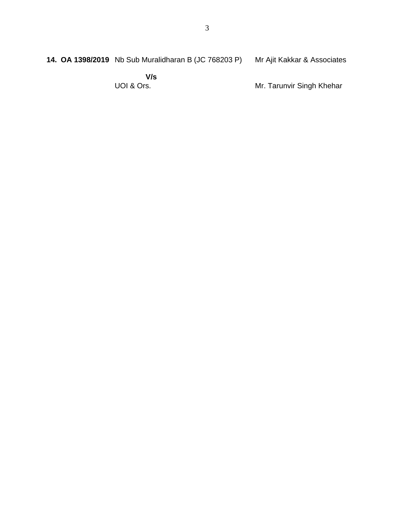**14. OA 1398/2019** Nb Sub Muralidharan B (JC 768203 P) Mr Ajit Kakkar & Associates

> **V/s** UOI & Ors.

Mr. Tarunvir Singh Khehar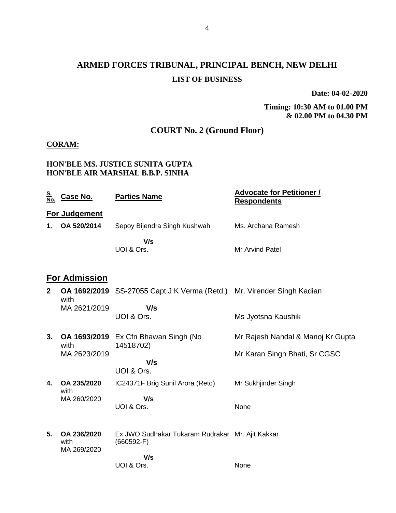## **ARMED FORCES TRIBUNAL, PRINCIPAL BENCH, NEW DELHI LIST OF BUSINESS**

**Date: 04-02-2020**

**Timing: 10:30 AM to 01.00 PM & 02.00 PM to 04.30 PM**

### **COURT No. 2 (Ground Floor)**

#### **CORAM:**

#### **HON'BLE MS. JUSTICE SUNITA GUPTA HON'BLE AIR MARSHAL B.B.P. SINHA**

| <u>S.</u><br><u>No.</u> | <u>Case No.</u>                    | <b>Parties Name</b>                                                           | <b>Advocate for Petitioner /</b><br><b>Respondents</b> |
|-------------------------|------------------------------------|-------------------------------------------------------------------------------|--------------------------------------------------------|
|                         | For Judgement                      |                                                                               |                                                        |
| 1.                      | OA 520/2014                        | Sepoy Bijendra Singh Kushwah                                                  | Ms. Archana Ramesh                                     |
|                         |                                    | V/s<br>UOI & Ors.                                                             | <b>Mr Arvind Patel</b>                                 |
|                         | <b>For Admission</b>               |                                                                               |                                                        |
| $\mathbf{2}$            | with                               | <b>OA 1692/2019</b> SS-27055 Capt J K Verma (Retd.) Mr. Virender Singh Kadian |                                                        |
|                         | MA 2621/2019                       | V/s<br>UOI & Ors.                                                             | Ms Jyotsna Kaushik                                     |
| 3.                      | OA 1693/2019<br>with               | Ex Cfn Bhawan Singh (No<br>14518702)                                          | Mr Rajesh Nandal & Manoj Kr Gupta                      |
|                         | MA 2623/2019                       | V/s                                                                           | Mr Karan Singh Bhati, Sr CGSC                          |
|                         |                                    | UOI & Ors.                                                                    |                                                        |
| 4.                      | OA 235/2020<br>with                | IC24371F Brig Sunil Arora (Retd)                                              | Mr Sukhjinder Singh                                    |
|                         | MA 260/2020                        | V/s<br>UOI & Ors.                                                             | None                                                   |
| 5.                      | OA 236/2020<br>with<br>MA 269/2020 | Ex JWO Sudhakar Tukaram Rudrakar Mr. Ajit Kakkar<br>$(660592-F)$              |                                                        |
|                         |                                    | V/s<br>UOI & Ors.                                                             | None                                                   |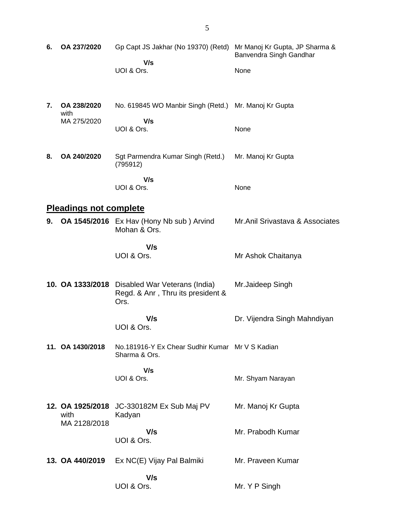| 6. | OA 237/2020                              | Gp Capt JS Jakhar (No 19370) (Retd)                                        | Mr Manoj Kr Gupta, JP Sharma &<br>Banvendra Singh Gandhar |
|----|------------------------------------------|----------------------------------------------------------------------------|-----------------------------------------------------------|
|    |                                          | V/s<br>UOI & Ors.                                                          | None                                                      |
| 7. | OA 238/2020<br>with                      | No. 619845 WO Manbir Singh (Retd.)                                         | Mr. Manoj Kr Gupta                                        |
|    | MA 275/2020                              | V/s<br>UOI & Ors.                                                          | None                                                      |
| 8. | OA 240/2020                              | Sgt Parmendra Kumar Singh (Retd.)<br>(795912)                              | Mr. Manoj Kr Gupta                                        |
|    |                                          | V/s<br>UOI & Ors.                                                          | None                                                      |
|    | <b>Pleadings not complete</b>            |                                                                            |                                                           |
| 9. |                                          | OA 1545/2016 Ex Hav (Hony Nb sub) Arvind<br>Mohan & Ors.                   | Mr.Anil Srivastava & Associates                           |
|    |                                          | V/s<br>UOI & Ors.                                                          | Mr Ashok Chaitanya                                        |
|    | 10. OA 1333/2018                         | Disabled War Veterans (India)<br>Regd. & Anr, Thru its president &<br>Ors. | Mr.Jaideep Singh                                          |
|    |                                          | V/s<br>UOI & Ors.                                                          | Dr. Vijendra Singh Mahndiyan                              |
|    | 11. OA 1430/2018                         | No.181916-Y Ex Chear Sudhir Kumar Mr V S Kadian<br>Sharma & Ors.           |                                                           |
|    |                                          | V/s<br>UOI & Ors.                                                          | Mr. Shyam Narayan                                         |
|    | 12. OA 1925/2018<br>with<br>MA 2128/2018 | JC-330182M Ex Sub Maj PV<br>Kadyan                                         | Mr. Manoj Kr Gupta                                        |
|    |                                          | V/s<br>UOI & Ors.                                                          | Mr. Prabodh Kumar                                         |
|    | 13. OA 440/2019                          | Ex NC(E) Vijay Pal Balmiki                                                 | Mr. Praveen Kumar                                         |
|    |                                          | V/s<br>UOI & Ors.                                                          | Mr. Y P Singh                                             |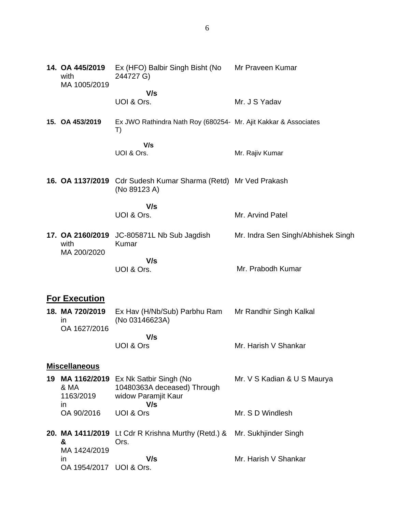| 14. OA 445/2019<br>with<br>MA 1005/2019 | Ex (HFO) Balbir Singh Bisht (No<br>244727 G)                          | Mr Praveen Kumar                   |
|-----------------------------------------|-----------------------------------------------------------------------|------------------------------------|
|                                         | V/s<br>UOI & Ors.                                                     | Mr. J S Yadav                      |
|                                         |                                                                       |                                    |
| 15. OA 453/2019                         | Ex JWO Rathindra Nath Roy (680254- Mr. Ajit Kakkar & Associates<br>T) |                                    |
|                                         | V/s                                                                   |                                    |
|                                         | UOI & Ors.                                                            | Mr. Rajiv Kumar                    |
|                                         | 16. OA 1137/2019 Cdr Sudesh Kumar Sharma (Retd) Mr Ved Prakash        |                                    |
|                                         | (No 89123 A)                                                          |                                    |
|                                         | V/s                                                                   |                                    |
|                                         | UOI & Ors.                                                            | Mr. Arvind Patel                   |
| 17. OA 2160/2019                        | JC-805871L Nb Sub Jagdish                                             | Mr. Indra Sen Singh/Abhishek Singh |
| with<br>MA 200/2020                     | Kumar                                                                 |                                    |
|                                         | V/s                                                                   |                                    |
|                                         | UOI & Ors.                                                            | Mr. Prabodh Kumar                  |
|                                         |                                                                       |                                    |
| <b>For Execution</b>                    |                                                                       |                                    |
| 18. MA 720/2019<br><i>in</i>            | Ex Hav (H/Nb/Sub) Parbhu Ram<br>(No 03146623A)                        | Mr Randhir Singh Kalkal            |
| OA 1627/2016                            |                                                                       |                                    |
|                                         | V/s                                                                   |                                    |

### **Miscellaneous**

UOI & Ors

|              | 19 MA 1162/2019 Ex Nk Satbir Singh (No                        | Mr. V S Kadian & U S Maurya |
|--------------|---------------------------------------------------------------|-----------------------------|
| & MA         | 10480363A deceased) Through                                   |                             |
| 1163/2019    | widow Paramjit Kaur                                           |                             |
| $\mathsf{I}$ | V/s                                                           |                             |
| OA 90/2016   | UOI & Ors                                                     | Mr. S D Windlesh            |
|              |                                                               |                             |
|              | 20 $MA$ $4A44/2040$ $H$ $Cdx$ D $V$ righno $M$ urthy $(Dctd)$ | Mr. Culchiinder Cinah       |

Mr. Harish V Shankar

| х.           | Ors. |                                                                                                    |
|--------------|------|----------------------------------------------------------------------------------------------------|
| MA 1424/2019 |      |                                                                                                    |
|              | V/s  | Mr. Harish V Shankar                                                                               |
|              |      |                                                                                                    |
|              |      | 20. MA 1411/2019 Lt Cdr R Krishna Murthy (Retd.) & Mr. Sukhjinder Singh<br>OA 1954/2017 UOI & Ors. |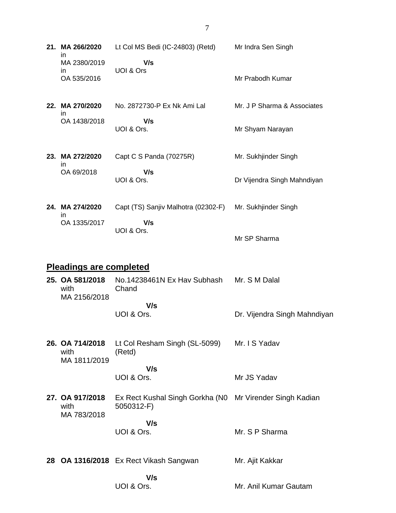| 21. MA 266/2020<br>in                   | Lt Col MS Bedi (IC-24803) (Retd) Mr Indra Sen Singh                    |                              |  |  |
|-----------------------------------------|------------------------------------------------------------------------|------------------------------|--|--|
| MA 2380/2019<br>in.<br>OA 535/2016      | V/s<br>UOI & Ors                                                       | Mr Prabodh Kumar             |  |  |
| 22. MA 270/2020<br>ın                   | No. 2872730-P Ex Nk Ami Lal                                            | Mr. J P Sharma & Associates  |  |  |
| OA 1438/2018                            | V/s<br>UOI & Ors.                                                      | Mr Shyam Narayan             |  |  |
| 23. MA 272/2020<br>in.                  | Capt C S Panda (70275R)                                                | Mr. Sukhjinder Singh         |  |  |
| OA 69/2018                              | V/s<br>UOI & Ors.                                                      | Dr Vijendra Singh Mahndiyan  |  |  |
| 24. MA 274/2020                         | Capt (TS) Sanjiv Malhotra (02302-F) Mr. Sukhjinder Singh               |                              |  |  |
| in.<br>OA 1335/2017                     | V/s<br>UOI & Ors.                                                      | Mr SP Sharma                 |  |  |
| <b>Pleadings are completed</b>          |                                                                        |                              |  |  |
| 25. OA 581/2018<br>with                 | No.14238461N Ex Hav Subhash Mr. S M Dalal<br>Chand                     |                              |  |  |
| MA 2156/2018                            | V/s<br>UOI & Ors.                                                      | Dr. Vijendra Singh Mahndiyan |  |  |
| 26. OA 714/2018<br>with<br>MA 1811/2019 | Lt Col Resham Singh (SL-5099) Mr. I S Yadav<br>(Retd)                  |                              |  |  |
|                                         | V/s<br>UOI & Ors.                                                      | Mr JS Yadav                  |  |  |
| 27. OA 917/2018<br>with<br>MA 783/2018  | Ex Rect Kushal Singh Gorkha (N0 Mr Virender Singh Kadian<br>5050312-F) |                              |  |  |
|                                         | V/s<br>UOI & Ors.                                                      | Mr. S P Sharma               |  |  |
|                                         | 28 OA 1316/2018 Ex Rect Vikash Sangwan                                 | Mr. Ajit Kakkar              |  |  |
|                                         | V/s<br>UOI & Ors.                                                      | Mr. Anil Kumar Gautam        |  |  |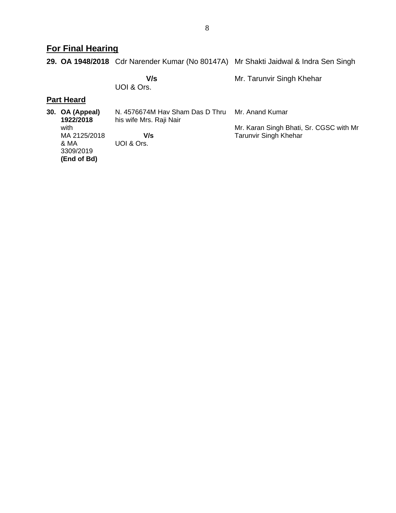## **For Final Hearing**

**29. OA 1948/2018** Cdr Narender Kumar (No 80147A) Mr Shakti Jaidwal & Indra Sen Singh

 **V/s** UOI & Ors. Mr. Tarunvir Singh Khehar

#### **Part Heard**

| 30. OA (Appeal)<br>1922/2018                             | N. 4576674M Hav Sham Das D Thru<br>his wife Mrs. Raji Nair | Mr. Anand Kumar                                                         |
|----------------------------------------------------------|------------------------------------------------------------|-------------------------------------------------------------------------|
| with<br>MA 2125/2018<br>& MA<br>3309/2019<br>(End of Bd) | V/s<br>UOI & Ors.                                          | Mr. Karan Singh Bhati, Sr. CGSC with Mr<br><b>Tarunvir Singh Khehar</b> |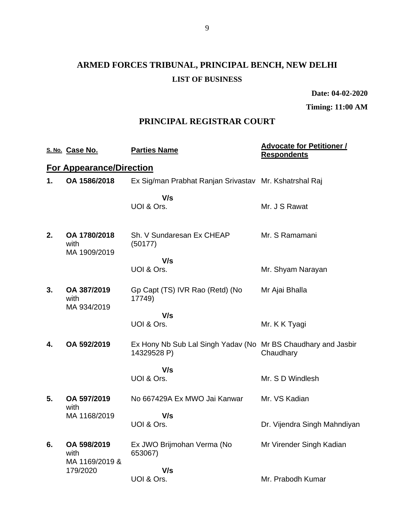# **ARMED FORCES TRIBUNAL, PRINCIPAL BENCH, NEW DELHI LIST OF BUSINESS**

**Date: 04-02-2020**

**Timing: 11:00 AM**

### **PRINCIPAL REGISTRAR COURT**

|    | S. No. Case No.                       | <b>Parties Name</b>                                                          | <b>Advocate for Petitioner /</b><br><b>Respondents</b> |
|----|---------------------------------------|------------------------------------------------------------------------------|--------------------------------------------------------|
|    | <b>For Appearance/Direction</b>       |                                                                              |                                                        |
| 1. | OA 1586/2018                          | Ex Sig/man Prabhat Ranjan Srivastav Mr. Kshatrshal Raj                       |                                                        |
|    |                                       | V/s<br>UOI & Ors.                                                            | Mr. J S Rawat                                          |
| 2. | OA 1780/2018<br>with<br>MA 1909/2019  | Sh. V Sundaresan Ex CHEAP<br>(50177)                                         | Mr. S Ramamani                                         |
|    |                                       | V/s                                                                          |                                                        |
|    |                                       | UOI & Ors.                                                                   | Mr. Shyam Narayan                                      |
| 3. | OA 387/2019<br>with<br>MA 934/2019    | Gp Capt (TS) IVR Rao (Retd) (No<br>17749)                                    | Mr Ajai Bhalla                                         |
|    |                                       | V/s                                                                          |                                                        |
|    |                                       | UOI & Ors.                                                                   | Mr. K K Tyagi                                          |
| 4. | OA 592/2019                           | Ex Hony Nb Sub Lal Singh Yadav (No Mr BS Chaudhary and Jasbir<br>14329528 P) | Chaudhary                                              |
|    |                                       | V/s                                                                          |                                                        |
|    |                                       | UOI & Ors.                                                                   | Mr. S D Windlesh                                       |
| 5. | OA 597/2019<br>with                   | No 667429A Ex MWO Jai Kanwar                                                 | Mr. VS Kadian                                          |
|    | MA 1168/2019                          | V/s                                                                          |                                                        |
|    |                                       | UOI & Ors.                                                                   | Dr. Vijendra Singh Mahndiyan                           |
| 6. | OA 598/2019<br>with<br>MA 1169/2019 & | Ex JWO Brijmohan Verma (No<br>653067)                                        | Mr Virender Singh Kadian                               |
|    | 179/2020                              | V/s                                                                          |                                                        |
|    |                                       | UOI & Ors.                                                                   | Mr. Prabodh Kumar                                      |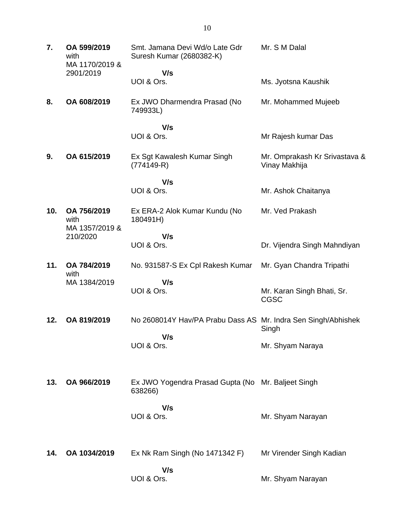| 7.  | OA 599/2019<br>with<br>MA 1170/2019 & | Smt. Jamana Devi Wd/o Late Gdr<br>Suresh Kumar (2680382-K)    | Mr. S M Dalal                                  |
|-----|---------------------------------------|---------------------------------------------------------------|------------------------------------------------|
|     | 2901/2019                             | V/s<br>UOI & Ors.                                             | Ms. Jyotsna Kaushik                            |
| 8.  | OA 608/2019                           | Ex JWO Dharmendra Prasad (No<br>749933L)                      | Mr. Mohammed Mujeeb                            |
|     |                                       | V/s<br>UOI & Ors.                                             | Mr Rajesh kumar Das                            |
| 9.  | OA 615/2019                           | Ex Sgt Kawalesh Kumar Singh<br>$(774149-R)$                   | Mr. Omprakash Kr Srivastava &<br>Vinay Makhija |
|     |                                       | V/s                                                           |                                                |
|     |                                       | UOI & Ors.                                                    | Mr. Ashok Chaitanya                            |
| 10. | OA 756/2019<br>with<br>MA 1357/2019 & | Ex ERA-2 Alok Kumar Kundu (No<br>180491H)                     | Mr. Ved Prakash                                |
|     | 210/2020                              | V/s<br>UOI & Ors.                                             | Dr. Vijendra Singh Mahndiyan                   |
| 11. | OA 784/2019<br>with                   | No. 931587-S Ex Cpl Rakesh Kumar                              | Mr. Gyan Chandra Tripathi                      |
|     | MA 1384/2019                          | V/s<br>UOI & Ors.                                             | Mr. Karan Singh Bhati, Sr.<br><b>CGSC</b>      |
| 12. | OA 819/2019                           | No 2608014Y Hav/PA Prabu Dass AS Mr. Indra Sen Singh/Abhishek | Singh                                          |
|     |                                       | V/s<br>UOI & Ors.                                             | Mr. Shyam Naraya                               |
| 13. | OA 966/2019                           | Ex JWO Yogendra Prasad Gupta (No Mr. Baljeet Singh<br>638266) |                                                |
|     |                                       | V/s<br>UOI & Ors.                                             | Mr. Shyam Narayan                              |
| 14. | OA 1034/2019                          | Ex Nk Ram Singh (No 1471342 F)                                | Mr Virender Singh Kadian                       |
|     |                                       | V/s<br>UOI & Ors.                                             | Mr. Shyam Narayan                              |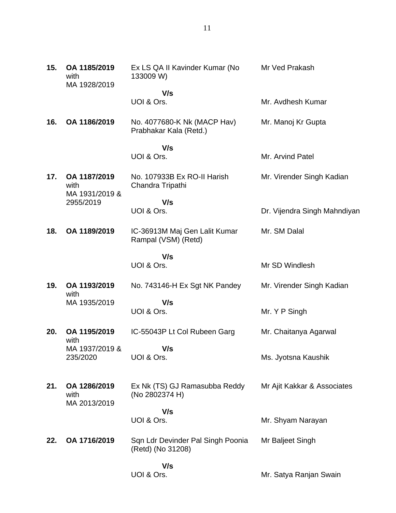| 15. | OA 1185/2019<br>with<br>MA 1928/2019   | Ex LS QA II Kavinder Kumar (No<br>133009 W)            | Mr Ved Prakash               |
|-----|----------------------------------------|--------------------------------------------------------|------------------------------|
|     |                                        | V/s<br>UOI & Ors.                                      | Mr. Avdhesh Kumar            |
|     |                                        |                                                        |                              |
| 16. | OA 1186/2019                           | No. 4077680-K Nk (MACP Hav)<br>Prabhakar Kala (Retd.)  | Mr. Manoj Kr Gupta           |
|     |                                        | V/s<br>UOI & Ors.                                      | Mr. Arvind Patel             |
| 17. | OA 1187/2019<br>with<br>MA 1931/2019 & | No. 107933B Ex RO-II Harish<br>Chandra Tripathi        | Mr. Virender Singh Kadian    |
|     | 2955/2019                              | V/s<br>UOI & Ors.                                      | Dr. Vijendra Singh Mahndiyan |
| 18. | OA 1189/2019                           | IC-36913M Maj Gen Lalit Kumar<br>Rampal (VSM) (Retd)   | Mr. SM Dalal                 |
|     |                                        | V/s<br>UOI & Ors.                                      | Mr SD Windlesh               |
| 19. | OA 1193/2019                           | No. 743146-H Ex Sgt NK Pandey                          | Mr. Virender Singh Kadian    |
|     | with<br>MA 1935/2019                   | V/s<br>UOI & Ors.                                      | Mr. Y P Singh                |
| 20. | OA 1195/2019<br>with                   | IC-55043P Lt Col Rubeen Garg                           | Mr. Chaitanya Agarwal        |
|     | MA 1937/2019 &<br>235/2020             | V/s<br>UOI & Ors.                                      | Ms. Jyotsna Kaushik          |
| 21. | OA 1286/2019<br>with<br>MA 2013/2019   | Ex Nk (TS) GJ Ramasubba Reddy<br>(No 2802374 H)        | Mr Ajit Kakkar & Associates  |
|     |                                        | V/s<br>UOI & Ors.                                      | Mr. Shyam Narayan            |
| 22. | OA 1716/2019                           | Sqn Ldr Devinder Pal Singh Poonia<br>(Retd) (No 31208) | Mr Baljeet Singh             |
|     |                                        | V/s<br>UOI & Ors.                                      | Mr. Satya Ranjan Swain       |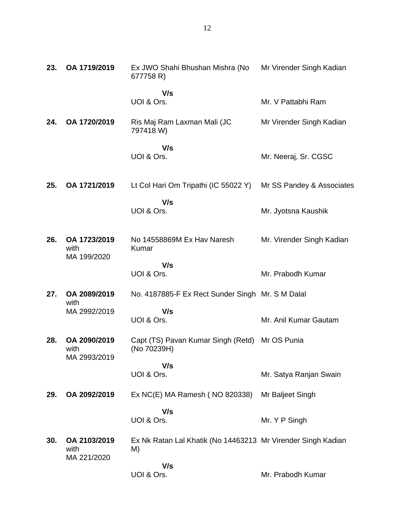| 23. | OA 1719/2019                         | Ex JWO Shahi Bhushan Mishra (No<br>677758 R)                       | Mr Virender Singh Kadian  |
|-----|--------------------------------------|--------------------------------------------------------------------|---------------------------|
|     |                                      | V/s<br>UOI & Ors.                                                  | Mr. V Pattabhi Ram        |
| 24. | OA 1720/2019                         | Ris Maj Ram Laxman Mali (JC<br>797418 W)                           | Mr Virender Singh Kadian  |
|     |                                      | V/s<br>UOI & Ors.                                                  | Mr. Neeraj, Sr. CGSC      |
| 25. | OA 1721/2019                         | Lt Col Hari Om Tripathi (IC 55022 Y)                               | Mr SS Pandey & Associates |
|     |                                      | V/s<br>UOI & Ors.                                                  | Mr. Jyotsna Kaushik       |
| 26. | OA 1723/2019<br>with<br>MA 199/2020  | No 14558869M Ex Hav Naresh<br>Kumar                                | Mr. Virender Singh Kadian |
|     |                                      | V/s<br>UOI & Ors.                                                  | Mr. Prabodh Kumar         |
| 27. | OA 2089/2019<br>with                 | No. 4187885-F Ex Rect Sunder Singh Mr. S M Dalal                   |                           |
|     | MA 2992/2019                         | V/s<br>UOI & Ors.                                                  | Mr. Anil Kumar Gautam     |
| 28. | OA 2090/2019<br>with<br>MA 2993/2019 | Capt (TS) Pavan Kumar Singh (Retd) Mr OS Punia<br>(No 70239H)      |                           |
|     |                                      | V/s<br>UOI & Ors.                                                  | Mr. Satya Ranjan Swain    |
| 29. | OA 2092/2019                         | Ex NC(E) MA Ramesh (NO 820338)                                     | Mr Baljeet Singh          |
|     |                                      | V/s<br>UOI & Ors.                                                  | Mr. Y P Singh             |
| 30. | OA 2103/2019<br>with<br>MA 221/2020  | Ex Nk Ratan Lal Khatik (No 14463213 Mr Virender Singh Kadian<br>M) |                           |
|     |                                      | V/s<br>UOI & Ors.                                                  | Mr. Prabodh Kumar         |